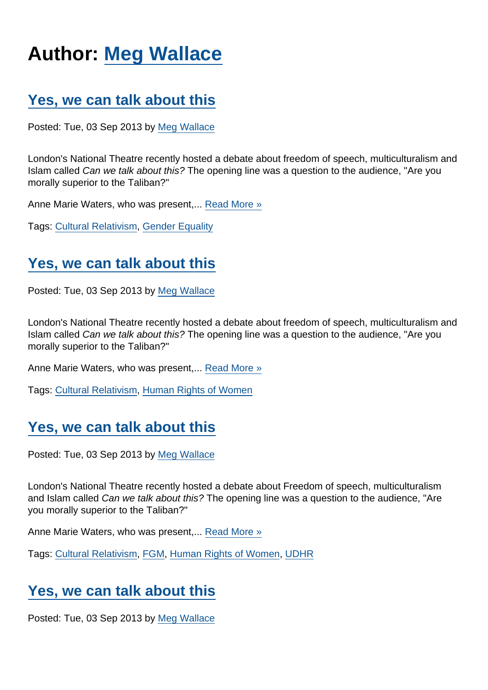# Author: [Meg Wallace](https://www.secularism.org.uk/opinion/authors/879)

### [Yes, we can talk about this](https://www.secularism.org.uk/opinion/2013/09/yes-we-can-talk-about-this)

Posted: Tue, 03 Sep 2013 by [Meg Wallace](https://www.secularism.org.uk/opinion/authors/879)

London's National Theatre recently hosted a debate about freedom of speech, multiculturalism and Islam called Can we talk about this? The opening line was a question to the audience, "Are you morally superior to the Taliban?"

Anne Marie Waters, who was present.... [Read More »](https://www.secularism.org.uk/opinion/2013/09/yes-we-can-talk-about-this)

Tags: [Cultural Relativism](https://www.secularism.org.uk/opinion/tags/Cultural+Relativism), [Gender Equality](https://www.secularism.org.uk/opinion/tags/Gender+Equality)

### [Yes, we can talk about this](https://www.secularism.org.uk/opinion/2013/09/yes-we-can-talk-about-this12)

Posted: Tue, 03 Sep 2013 by [Meg Wallace](https://www.secularism.org.uk/opinion/authors/879)

London's National Theatre recently hosted a debate about freedom of speech, multiculturalism and Islam called Can we talk about this? The opening line was a question to the audience, "Are you morally superior to the Taliban?"

Anne Marie Waters, who was present,... [Read More »](https://www.secularism.org.uk/opinion/2013/09/yes-we-can-talk-about-this12)

Tags: [Cultural Relativism](https://www.secularism.org.uk/opinion/tags/Cultural+Relativism), [Human Rights of Women](https://www.secularism.org.uk/opinion/tags/Human+Rights+of+Women)

## [Yes, we can talk about this](https://www.secularism.org.uk/opinion/2013/09/yes-we-can-talk-about-this11)

Posted: Tue, 03 Sep 2013 by [Meg Wallace](https://www.secularism.org.uk/opinion/authors/879)

London's National Theatre recently hosted a debate about Freedom of speech, multiculturalism and Islam called Can we talk about this? The opening line was a question to the audience, "Are you morally superior to the Taliban?"

Anne Marie Waters, who was present,... [Read More »](https://www.secularism.org.uk/opinion/2013/09/yes-we-can-talk-about-this11)

Tags: [Cultural Relativism](https://www.secularism.org.uk/opinion/tags/Cultural+Relativism), [FGM,](https://www.secularism.org.uk/opinion/tags/FGM) [Human Rights of Women](https://www.secularism.org.uk/opinion/tags/Human+Rights+of+Women), [UDHR](https://www.secularism.org.uk/opinion/tags/UDHR)

#### [Yes, we can talk about this](https://www.secularism.org.uk/opinion/2013/09/yes-we-can-talk-about-this1)

Posted: Tue, 03 Sep 2013 by [Meg Wallace](https://www.secularism.org.uk/opinion/authors/879)